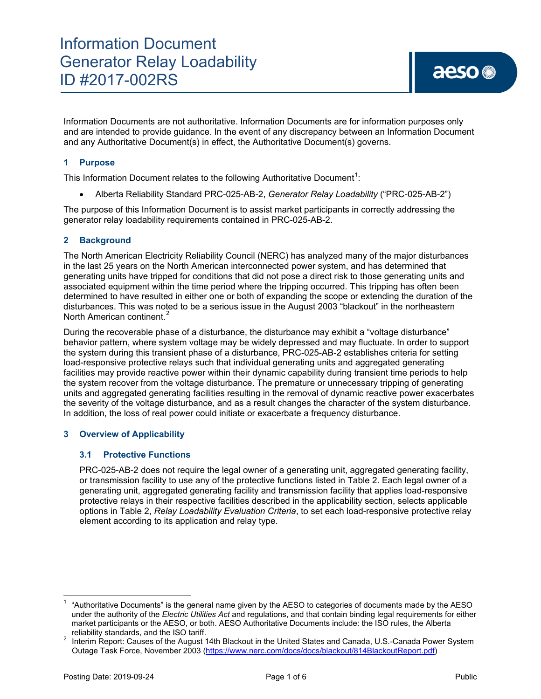Information Documents are not authoritative. Information Documents are for information purposes only and are intended to provide guidance. In the event of any discrepancy between an Information Document and any Authoritative Document(s) in effect, the Authoritative Document(s) governs.

## **1 Purpose**

This Information Document relates to the following Authoritative Document<sup>[1](#page-0-0)</sup>:

• Alberta Reliability Standard PRC-025-AB-2, *Generator Relay Loadability* ("PRC-025-AB-2")

The purpose of this Information Document is to assist market participants in correctly addressing the generator relay loadability requirements contained in PRC-025-AB-2.

#### **2 Background**

The North American Electricity Reliability Council (NERC) has analyzed many of the major disturbances in the last 25 years on the North American interconnected power system, and has determined that generating units have tripped for conditions that did not pose a direct risk to those generating units and associated equipment within the time period where the tripping occurred. This tripping has often been determined to have resulted in either one or both of expanding the scope or extending the duration of the disturbances. This was noted to be a serious issue in the August 2003 "blackout" in the northeastern North American continent.<sup>[2](#page-0-1)</sup>

During the recoverable phase of a disturbance, the disturbance may exhibit a "voltage disturbance" behavior pattern, where system voltage may be widely depressed and may fluctuate. In order to support the system during this transient phase of a disturbance, PRC-025-AB-2 establishes criteria for setting load-responsive protective relays such that individual generating units and aggregated generating facilities may provide reactive power within their dynamic capability during transient time periods to help the system recover from the voltage disturbance. The premature or unnecessary tripping of generating units and aggregated generating facilities resulting in the removal of dynamic reactive power exacerbates the severity of the voltage disturbance, and as a result changes the character of the system disturbance. In addition, the loss of real power could initiate or exacerbate a frequency disturbance.

#### **3 Overview of Applicability**

#### **3.1 Protective Functions**

PRC-025-AB-2 does not require the legal owner of a generating unit, aggregated generating facility, or transmission facility to use any of the protective functions listed in Table 2. Each legal owner of a generating unit, aggregated generating facility and transmission facility that applies load-responsive protective relays in their respective facilities described in the applicability section, selects applicable options in Table 2, *Relay Loadability Evaluation Criteria*, to set each load-responsive protective relay element according to its application and relay type.

<span id="page-0-0"></span><sup>1</sup> "Authoritative Documents" is the general name given by the AESO to categories of documents made by the AESO under the authority of the *Electric Utilities Act* and regulations, and that contain binding legal requirements for either market participants or the AESO, or both. AESO Authoritative Documents include: the ISO rules, the Alberta

<span id="page-0-1"></span>reliability standards, and the ISO tariff.<br><sup>2</sup> Interim Report: Causes of the August 14th Blackout in the United States and Canada, U.S.-Canada Power System Outage Task Force, November 2003 [\(https://www.nerc.com/docs/docs/blackout/814BlackoutReport.pdf\)](https://www.nerc.com/docs/docs/blackout/814BlackoutReport.pdf)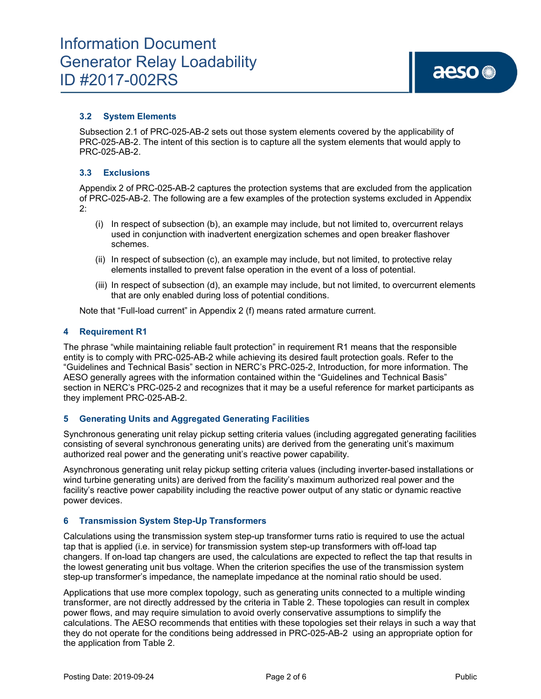## **3.2 System Elements**

Subsection 2.1 of PRC-025-AB-2 sets out those system elements covered by the applicability of PRC-025-AB-2. The intent of this section is to capture all the system elements that would apply to PRC-025-AB-2.

#### **3.3 Exclusions**

Appendix 2 of PRC-025-AB-2 captures the protection systems that are excluded from the application of PRC-025-AB-2. The following are a few examples of the protection systems excluded in Appendix 2:

- (i) In respect of subsection (b), an example may include, but not limited to, overcurrent relays used in conjunction with inadvertent energization schemes and open breaker flashover schemes.
- (ii) In respect of subsection (c), an example may include, but not limited, to protective relay elements installed to prevent false operation in the event of a loss of potential.
- (iii) In respect of subsection (d), an example may include, but not limited, to overcurrent elements that are only enabled during loss of potential conditions.

Note that "Full-load current" in Appendix 2 (f) means rated armature current.

#### **4 Requirement R1**

The phrase "while maintaining reliable fault protection" in requirement R1 means that the responsible entity is to comply with PRC-025-AB-2 while achieving its desired fault protection goals. Refer to the "Guidelines and Technical Basis" section in NERC's PRC-025-2, Introduction, for more information. The AESO generally agrees with the information contained within the "Guidelines and Technical Basis" section in NERC's PRC-025-2 and recognizes that it may be a useful reference for market participants as they implement PRC-025-AB-2.

#### **5 Generating Units and Aggregated Generating Facilities**

Synchronous generating unit relay pickup setting criteria values (including aggregated generating facilities consisting of several synchronous generating units) are derived from the generating unit's maximum authorized real power and the generating unit's reactive power capability.

Asynchronous generating unit relay pickup setting criteria values (including inverter-based installations or wind turbine generating units) are derived from the facility's maximum authorized real power and the facility's reactive power capability including the reactive power output of any static or dynamic reactive power devices.

#### **6 Transmission System Step-Up Transformers**

Calculations using the transmission system step-up transformer turns ratio is required to use the actual tap that is applied (i.e. in service) for transmission system step-up transformers with off-load tap changers. If on-load tap changers are used, the calculations are expected to reflect the tap that results in the lowest generating unit bus voltage. When the criterion specifies the use of the transmission system step-up transformer's impedance, the nameplate impedance at the nominal ratio should be used.

Applications that use more complex topology, such as generating units connected to a multiple winding transformer, are not directly addressed by the criteria in Table 2. These topologies can result in complex power flows, and may require simulation to avoid overly conservative assumptions to simplify the calculations. The AESO recommends that entities with these topologies set their relays in such a way that they do not operate for the conditions being addressed in PRC-025-AB-2 using an appropriate option for the application from Table 2.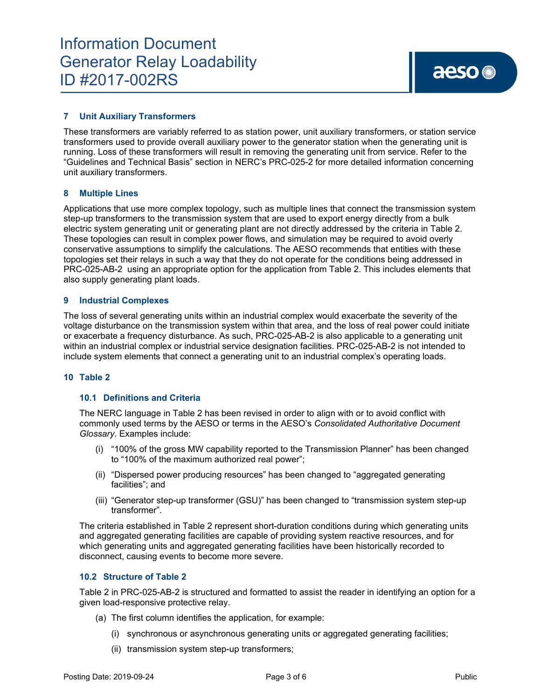### **7 Unit Auxiliary Transformers**

These transformers are variably referred to as station power, unit auxiliary transformers, or station service transformers used to provide overall auxiliary power to the generator station when the generating unit is running. Loss of these transformers will result in removing the generating unit from service. Refer to the "Guidelines and Technical Basis" section in NERC's PRC-025-2 for more detailed information concerning unit auxiliary transformers.

#### **8 Multiple Lines**

Applications that use more complex topology, such as multiple lines that connect the transmission system step-up transformers to the transmission system that are used to export energy directly from a bulk electric system generating unit or generating plant are not directly addressed by the criteria in Table 2. These topologies can result in complex power flows, and simulation may be required to avoid overly conservative assumptions to simplify the calculations. The AESO recommends that entities with these topologies set their relays in such a way that they do not operate for the conditions being addressed in PRC-025-AB-2 using an appropriate option for the application from Table 2. This includes elements that also supply generating plant loads.

#### **9 Industrial Complexes**

The loss of several generating units within an industrial complex would exacerbate the severity of the voltage disturbance on the transmission system within that area, and the loss of real power could initiate or exacerbate a frequency disturbance. As such, PRC-025-AB-2 is also applicable to a generating unit within an industrial complex or industrial service designation facilities. PRC-025-AB-2 is not intended to include system elements that connect a generating unit to an industrial complex's operating loads.

#### **10 Table 2**

#### **10.1 Definitions and Criteria**

The NERC language in Table 2 has been revised in order to align with or to avoid conflict with commonly used terms by the AESO or terms in the AESO's *Consolidated Authoritative Document Glossary*. Examples include:

- (i) "100% of the gross MW capability reported to the Transmission Planner" has been changed to "100% of the maximum authorized real power";
- (ii) "Dispersed power producing resources" has been changed to "aggregated generating facilities"; and
- (iii) "Generator step-up transformer (GSU)" has been changed to "transmission system step-up transformer".

The criteria established in Table 2 represent short-duration conditions during which generating units and aggregated generating facilities are capable of providing system reactive resources, and for which generating units and aggregated generating facilities have been historically recorded to disconnect, causing events to become more severe.

#### **10.2 Structure of Table 2**

Table 2 in PRC-025-AB-2 is structured and formatted to assist the reader in identifying an option for a given load-responsive protective relay.

- (a) The first column identifies the application, for example:
	- (i) synchronous or asynchronous generating units or aggregated generating facilities;
	- (ii) transmission system step-up transformers;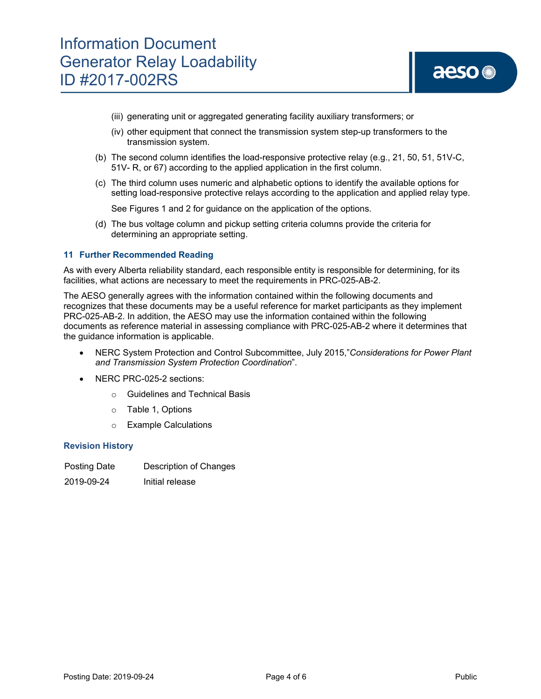- (iii) generating unit or aggregated generating facility auxiliary transformers; or
- (iv) other equipment that connect the transmission system step-up transformers to the transmission system.
- (b) The second column identifies the load-responsive protective relay (e.g., 21, 50, 51, 51V-C, 51V- R, or 67) according to the applied application in the first column.
- (c) The third column uses numeric and alphabetic options to identify the available options for setting load-responsive protective relays according to the application and applied relay type.

See Figures 1 and 2 for guidance on the application of the options.

(d) The bus voltage column and pickup setting criteria columns provide the criteria for determining an appropriate setting.

#### **11 Further Recommended Reading**

As with every Alberta reliability standard, each responsible entity is responsible for determining, for its facilities, what actions are necessary to meet the requirements in PRC-025-AB-2.

The AESO generally agrees with the information contained within the following documents and recognizes that these documents may be a useful reference for market participants as they implement PRC-025-AB-2. In addition, the AESO may use the information contained within the following documents as reference material in assessing compliance with PRC-025-AB-2 where it determines that the guidance information is applicable.

- NERC System Protection and Control Subcommittee, July 2015,"*Considerations for Power Plant and Transmission System Protection Coordination*".
- NERC PRC-025-2 sections:
	- o Guidelines and Technical Basis
	- o Table 1, Options
	- o Example Calculations

#### **Revision History**

2019-09-24 Initial release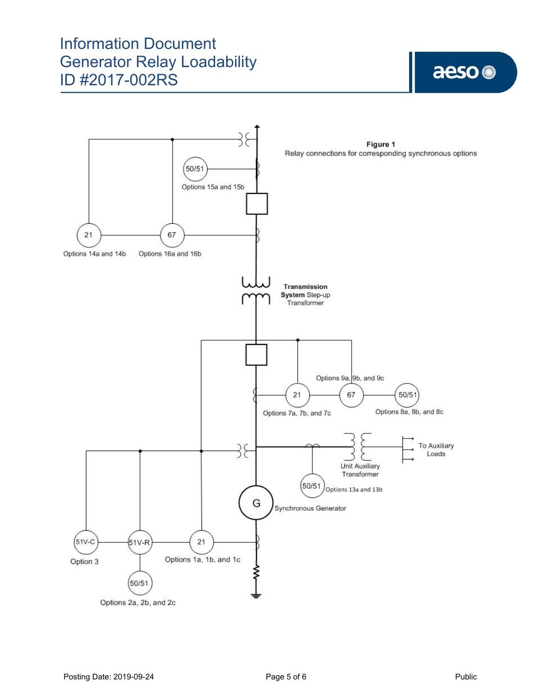# Information Document Generator Relay Loadability ID #2017-002RS